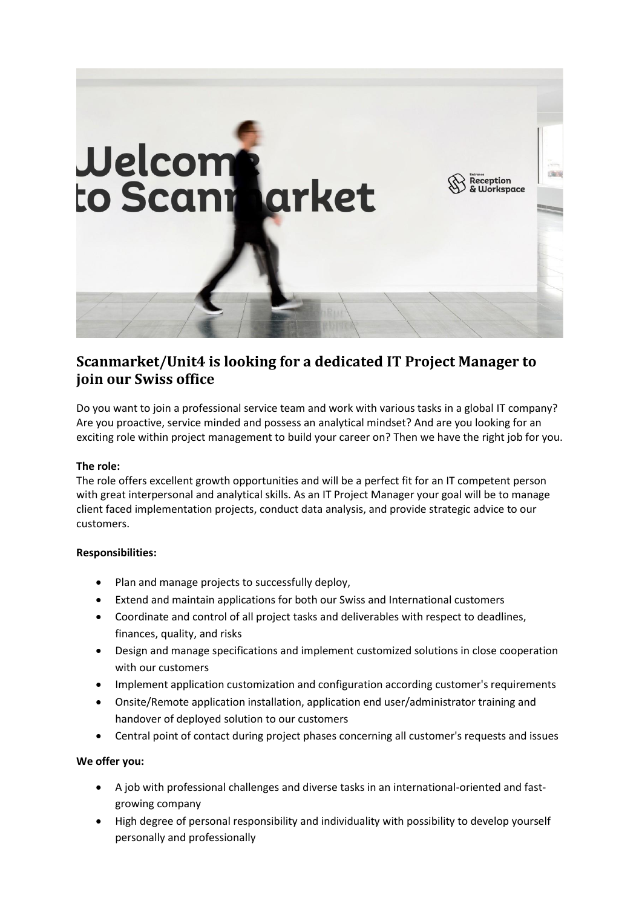

# **Scanmarket/Unit4 is looking for a dedicated IT Project Manager to join our Swiss office**

Do you want to join a professional service team and work with various tasks in a global IT company? Are you proactive, service minded and possess an analytical mindset? And are you looking for an exciting role within project management to build your career on? Then we have the right job for you.

# **The role:**

The role offers excellent growth opportunities and will be a perfect fit for an IT competent person with great interpersonal and analytical skills. As an IT Project Manager your goal will be to manage client faced implementation projects, conduct data analysis, and provide strategic advice to our customers.

## **Responsibilities:**

- Plan and manage projects to successfully deploy,
- Extend and maintain applications for both our Swiss and International customers
- Coordinate and control of all project tasks and deliverables with respect to deadlines, finances, quality, and risks
- Design and manage specifications and implement customized solutions in close cooperation with our customers
- Implement application customization and configuration according customer's requirements
- Onsite/Remote application installation, application end user/administrator training and handover of deployed solution to our customers
- Central point of contact during project phases concerning all customer's requests and issues

## **We offer you:**

- A job with professional challenges and diverse tasks in an international-oriented and fastgrowing company
- High degree of personal responsibility and individuality with possibility to develop yourself personally and professionally